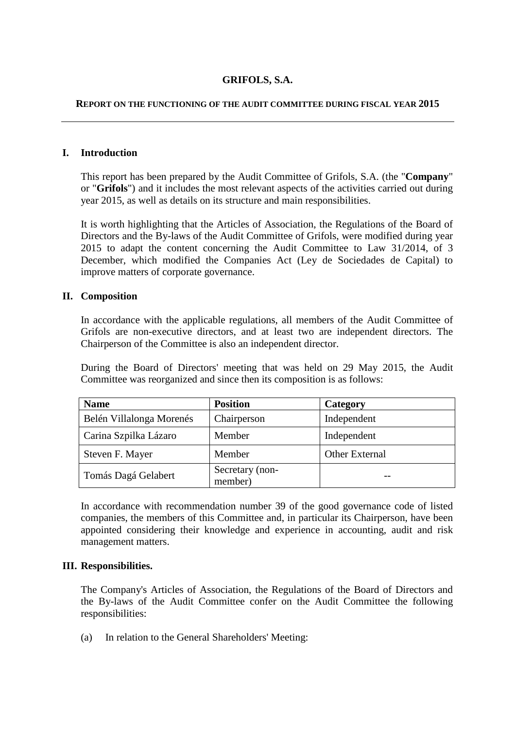# **GRIFOLS, S.A.**

### **REPORT ON THE FUNCTIONING OF THE AUDIT COMMITTEE DURING FISCAL YEAR 2015**

## **I. Introduction**

This report has been prepared by the Audit Committee of Grifols, S.A. (the "**Company**" or "**Grifols**") and it includes the most relevant aspects of the activities carried out during year 2015, as well as details on its structure and main responsibilities.

It is worth highlighting that the Articles of Association, the Regulations of the Board of Directors and the By-laws of the Audit Committee of Grifols, were modified during year 2015 to adapt the content concerning the Audit Committee to Law 31/2014, of 3 December, which modified the Companies Act (Ley de Sociedades de Capital) to improve matters of corporate governance.

## **II. Composition**

In accordance with the applicable regulations, all members of the Audit Committee of Grifols are non-executive directors, and at least two are independent directors. The Chairperson of the Committee is also an independent director.

During the Board of Directors' meeting that was held on 29 May 2015, the Audit Committee was reorganized and since then its composition is as follows:

| <b>Name</b>              | <b>Position</b>            | Category       |
|--------------------------|----------------------------|----------------|
| Belén Villalonga Morenés | Chairperson                | Independent    |
| Carina Szpilka Lázaro    | Member                     | Independent    |
| Steven F. Mayer          | Member                     | Other External |
| Tomás Dagá Gelabert      | Secretary (non-<br>member) |                |

In accordance with recommendation number 39 of the good governance code of listed companies, the members of this Committee and, in particular its Chairperson, have been appointed considering their knowledge and experience in accounting, audit and risk management matters.

### **III. Responsibilities.**

The Company's Articles of Association, the Regulations of the Board of Directors and the By-laws of the Audit Committee confer on the Audit Committee the following responsibilities:

(a) In relation to the General Shareholders' Meeting: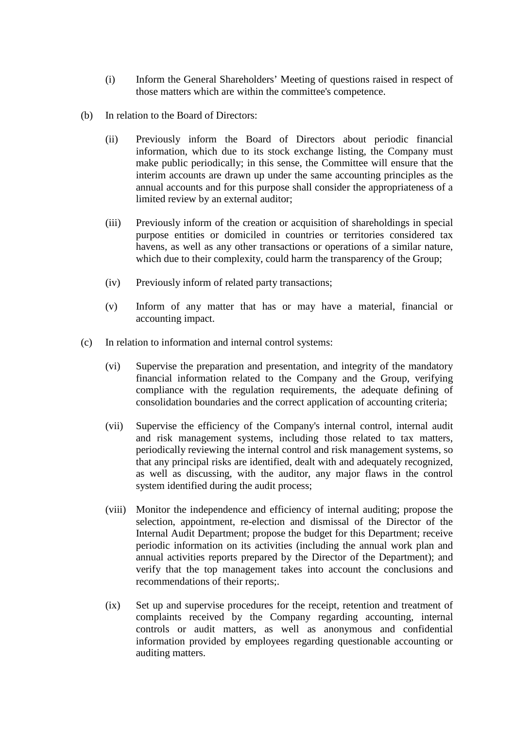- (i) Inform the General Shareholders' Meeting of questions raised in respect of those matters which are within the committee's competence.
- (b) In relation to the Board of Directors:
	- (ii) Previously inform the Board of Directors about periodic financial information, which due to its stock exchange listing, the Company must make public periodically; in this sense, the Committee will ensure that the interim accounts are drawn up under the same accounting principles as the annual accounts and for this purpose shall consider the appropriateness of a limited review by an external auditor;
	- (iii) Previously inform of the creation or acquisition of shareholdings in special purpose entities or domiciled in countries or territories considered tax havens, as well as any other transactions or operations of a similar nature, which due to their complexity, could harm the transparency of the Group;
	- (iv) Previously inform of related party transactions;
	- (v) Inform of any matter that has or may have a material, financial or accounting impact.
- (c) In relation to information and internal control systems:
	- (vi) Supervise the preparation and presentation, and integrity of the mandatory financial information related to the Company and the Group, verifying compliance with the regulation requirements, the adequate defining of consolidation boundaries and the correct application of accounting criteria;
	- (vii) Supervise the efficiency of the Company's internal control, internal audit and risk management systems, including those related to tax matters, periodically reviewing the internal control and risk management systems, so that any principal risks are identified, dealt with and adequately recognized, as well as discussing, with the auditor, any major flaws in the control system identified during the audit process;
	- (viii) Monitor the independence and efficiency of internal auditing; propose the selection, appointment, re-election and dismissal of the Director of the Internal Audit Department; propose the budget for this Department; receive periodic information on its activities (including the annual work plan and annual activities reports prepared by the Director of the Department); and verify that the top management takes into account the conclusions and recommendations of their reports;.
	- (ix) Set up and supervise procedures for the receipt, retention and treatment of complaints received by the Company regarding accounting, internal controls or audit matters, as well as anonymous and confidential information provided by employees regarding questionable accounting or auditing matters.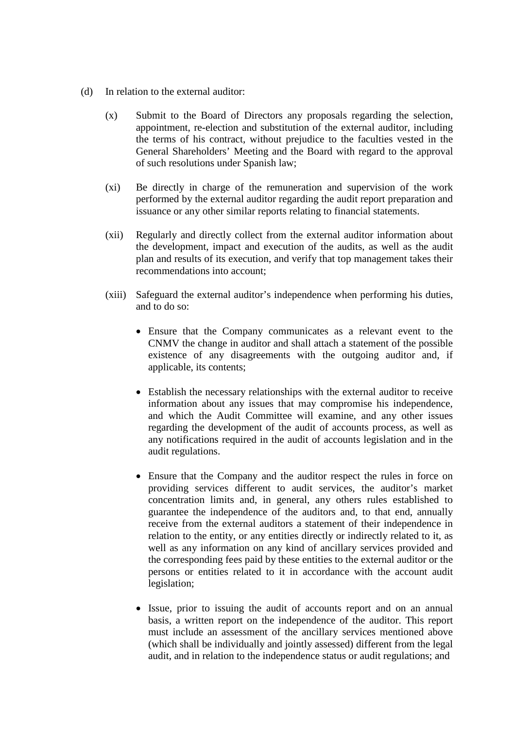- (d) In relation to the external auditor:
	- (x) Submit to the Board of Directors any proposals regarding the selection, appointment, re-election and substitution of the external auditor, including the terms of his contract, without prejudice to the faculties vested in the General Shareholders' Meeting and the Board with regard to the approval of such resolutions under Spanish law;
	- (xi) Be directly in charge of the remuneration and supervision of the work performed by the external auditor regarding the audit report preparation and issuance or any other similar reports relating to financial statements.
	- (xii) Regularly and directly collect from the external auditor information about the development, impact and execution of the audits, as well as the audit plan and results of its execution, and verify that top management takes their recommendations into account;
	- (xiii) Safeguard the external auditor's independence when performing his duties, and to do so:
		- Ensure that the Company communicates as a relevant event to the CNMV the change in auditor and shall attach a statement of the possible existence of any disagreements with the outgoing auditor and, if applicable, its contents;
		- Establish the necessary relationships with the external auditor to receive information about any issues that may compromise his independence, and which the Audit Committee will examine, and any other issues regarding the development of the audit of accounts process, as well as any notifications required in the audit of accounts legislation and in the audit regulations.
		- Ensure that the Company and the auditor respect the rules in force on providing services different to audit services, the auditor's market concentration limits and, in general, any others rules established to guarantee the independence of the auditors and, to that end, annually receive from the external auditors a statement of their independence in relation to the entity, or any entities directly or indirectly related to it, as well as any information on any kind of ancillary services provided and the corresponding fees paid by these entities to the external auditor or the persons or entities related to it in accordance with the account audit legislation;
		- Issue, prior to issuing the audit of accounts report and on an annual basis, a written report on the independence of the auditor. This report must include an assessment of the ancillary services mentioned above (which shall be individually and jointly assessed) different from the legal audit, and in relation to the independence status or audit regulations; and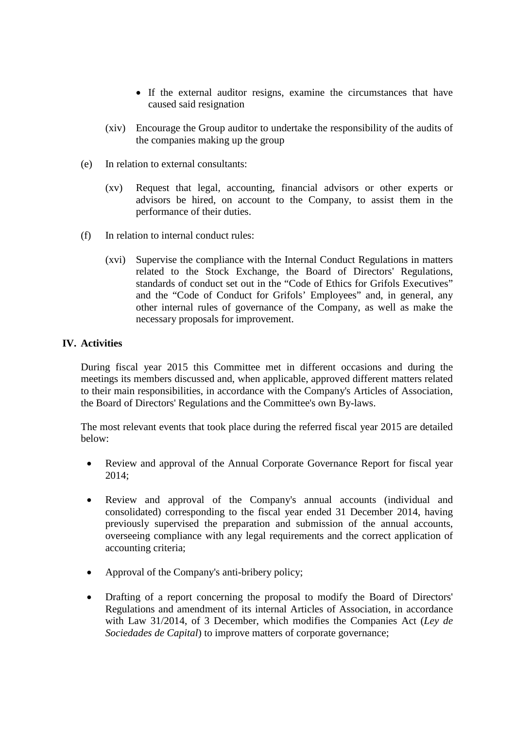- If the external auditor resigns, examine the circumstances that have caused said resignation
- (xiv) Encourage the Group auditor to undertake the responsibility of the audits of the companies making up the group
- (e) In relation to external consultants:
	- (xv) Request that legal, accounting, financial advisors or other experts or advisors be hired, on account to the Company, to assist them in the performance of their duties.
- (f) In relation to internal conduct rules:
	- (xvi) Supervise the compliance with the Internal Conduct Regulations in matters related to the Stock Exchange, the Board of Directors' Regulations, standards of conduct set out in the "Code of Ethics for Grifols Executives" and the "Code of Conduct for Grifols' Employees" and, in general, any other internal rules of governance of the Company, as well as make the necessary proposals for improvement.

# **IV. Activities**

During fiscal year 2015 this Committee met in different occasions and during the meetings its members discussed and, when applicable, approved different matters related to their main responsibilities, in accordance with the Company's Articles of Association, the Board of Directors' Regulations and the Committee's own By-laws.

The most relevant events that took place during the referred fiscal year 2015 are detailed below:

- Review and approval of the Annual Corporate Governance Report for fiscal year 2014;
- Review and approval of the Company's annual accounts (individual and consolidated) corresponding to the fiscal year ended 31 December 2014, having previously supervised the preparation and submission of the annual accounts, overseeing compliance with any legal requirements and the correct application of accounting criteria;
- Approval of the Company's anti-bribery policy;
- Drafting of a report concerning the proposal to modify the Board of Directors' Regulations and amendment of its internal Articles of Association, in accordance with Law 31/2014, of 3 December, which modifies the Companies Act (*Ley de Sociedades de Capital*) to improve matters of corporate governance;